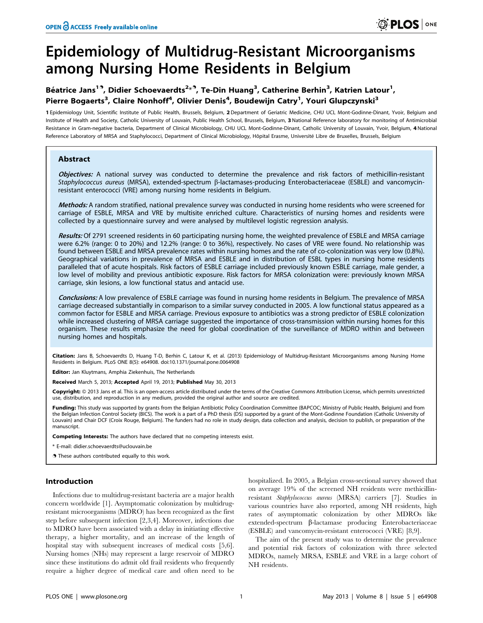# Epidemiology of Multidrug-Resistant Microorganisms among Nursing Home Residents in Belgium

# Béatrice Jans<sup>19</sup>, Didier Schoevaerdts<sup>2 $_{\rm{\ast}}$ 9, Te-Din Huang<sup>3</sup>, Catherine Berhin<sup>3</sup>, Katrien Latour<sup>1</sup>,</sup> Pierre Bogaerts<sup>3</sup>, Claire Nonhoff<sup>4</sup>, Olivier Denis<sup>4</sup>, Boudewijn Catry<sup>1</sup>, Youri Glupczynski<sup>3</sup>

1 Epidemiology Unit, Scientific Institute of Public Health, Brussels, Belgium, 2Department of Geriatric Medicine, CHU UCL Mont-Godinne-Dinant, Yvoir, Belgium and Institute of Health and Society, Catholic University of Louvain, Public Health School, Brussels, Belgium, 3National Reference laboratory for monitoring of Antimicrobial Resistance in Gram-negative bacteria, Department of Clinical Microbiology, CHU UCL Mont-Godinne-Dinant, Catholic University of Louvain, Yvoir, Belgium, 4 National Reference Laboratory of MRSA and Staphylococci, Department of Clinical Microbiology, Hôpital Erasme, Université Libre de Bruxelles, Brussels, Belgium

# Abstract

Objectives: A national survey was conducted to determine the prevalence and risk factors of methicillin-resistant Staphylococcus aureus (MRSA), extended-spectrum  $\beta$ -lactamases-producing Enterobacteriaceae (ESBLE) and vancomycinresistant enterococci (VRE) among nursing home residents in Belgium.

Methods: A random stratified, national prevalence survey was conducted in nursing home residents who were screened for carriage of ESBLE, MRSA and VRE by multisite enriched culture. Characteristics of nursing homes and residents were collected by a questionnaire survey and were analysed by multilevel logistic regression analysis.

Results: Of 2791 screened residents in 60 participating nursing home, the weighted prevalence of ESBLE and MRSA carriage were 6.2% (range: 0 to 20%) and 12.2% (range: 0 to 36%), respectively. No cases of VRE were found. No relationship was found between ESBLE and MRSA prevalence rates within nursing homes and the rate of co-colonization was very low (0.8%). Geographical variations in prevalence of MRSA and ESBLE and in distribution of ESBL types in nursing home residents paralleled that of acute hospitals. Risk factors of ESBLE carriage included previously known ESBLE carriage, male gender, a low level of mobility and previous antibiotic exposure. Risk factors for MRSA colonization were: previously known MRSA carriage, skin lesions, a low functional status and antacid use.

Conclusions: A low prevalence of ESBLE carriage was found in nursing home residents in Belgium. The prevalence of MRSA carriage decreased substantially in comparison to a similar survey conducted in 2005. A low functional status appeared as a common factor for ESBLE and MRSA carriage. Previous exposure to antibiotics was a strong predictor of ESBLE colonization while increased clustering of MRSA carriage suggested the importance of cross-transmission within nursing homes for this organism. These results emphasize the need for global coordination of the surveillance of MDRO within and between nursing homes and hospitals.

Citation: Jans B, Schoevaerdts D, Huang T-D, Berhin C, Latour K, et al. (2013) Epidemiology of Multidrug-Resistant Microorganisms among Nursing Home Residents in Belgium. PLoS ONE 8(5): e64908. doi:10.1371/journal.pone.0064908

Editor: Jan Kluytmans, Amphia Ziekenhuis, The Netherlands

Received March 5, 2013; Accepted April 19, 2013; Published May 30, 2013

Copyright: © 2013 Jans et al. This is an open-access article distributed under the terms of the Creative Commons Attribution License, which permits unrestricted use, distribution, and reproduction in any medium, provided the original author and source are credited.

**Funding:** This study was supported by grants from the Belgian Antibiotic Policy Coordination Committee (BAPCOC; Ministry of Public Health, Belgium) and from<br>the Belgian Infection Control Society (BICS). The work is a part Louvain) and Chair DCF (Croix Rouge, Belgium). The funders had no role in study design, data collection and analysis, decision to publish, or preparation of the manuscript.

Competing Interests: The authors have declared that no competing interests exist.

\* E-mail: didier.schoevaerdts@uclouvain.be

**.** These authors contributed equally to this work.

# Introduction

Infections due to multidrug-resistant bacteria are a major health concern worldwide [1]. Asymptomatic colonization by multidrugresistant microorganisms (MDRO) has been recognized as the first step before subsequent infection [2,3,4]. Moreover, infections due to MDRO have been associated with a delay in initiating effective therapy, a higher mortality, and an increase of the length of hospital stay with subsequent increases of medical costs [5,6]. Nursing homes (NHs) may represent a large reservoir of MDRO since these institutions do admit old frail residents who frequently require a higher degree of medical care and often need to be

hospitalized. In 2005, a Belgian cross-sectional survey showed that on average 19% of the screened NH residents were methicillinresistant Staphylococcus aureus (MRSA) carriers [7]. Studies in various countries have also reported, among NH residents, high rates of asymptomatic colonization by other MDROs like extended-spectrum β-lactamase producing Enterobacteriaceae (ESBLE) and vancomycin-resistant enterococci (VRE) [8,9].

The aim of the present study was to determine the prevalence and potential risk factors of colonization with three selected MDROs, namely MRSA, ESBLE and VRE in a large cohort of NH residents.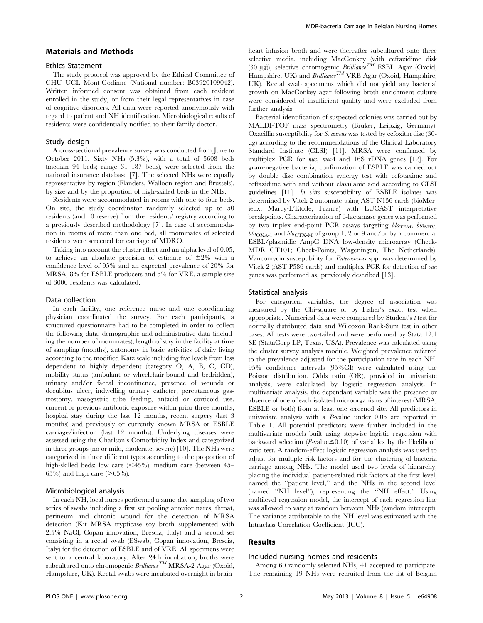# Materials and Methods

#### Ethics Statement

The study protocol was approved by the Ethical Committee of CHU UCL Mont-Godinne (National number: B03920109042). Written informed consent was obtained from each resident enrolled in the study, or from their legal representatives in case of cognitive disorders. All data were reported anonymously with regard to patient and NH identification. Microbiological results of residents were confidentially notified to their family doctor.

# Study design

A cross-sectional prevalence survey was conducted from June to October 2011. Sixty NHs (5.3%), with a total of 5608 beds (median 94 beds; range 31–187 beds), were selected from the national insurance database [7]. The selected NHs were equally representative by region (Flanders, Walloon region and Brussels), by size and by the proportion of high-skilled beds in the NHs.

Residents were accommodated in rooms with one to four beds. On site, the study coordinator randomly selected up to 50 residents (and 10 reserve) from the residents' registry according to a previously described methodology [7]. In case of accommodation in rooms of more than one bed, all roommates of selected residents were screened for carriage of MDRO.

Taking into account the cluster effect and an alpha level of 0.05, to achieve an absolute precision of estimate of  $\pm 2\%$  with a confidence level of 95% and an expected prevalence of 20% for MRSA, 8% for ESBLE producers and 5% for VRE, a sample size of 3000 residents was calculated.

#### Data collection

In each facility, one reference nurse and one coordinating physician coordinated the survey. For each participants, a structured questionnaire had to be completed in order to collect the following data: demographic and administrative data (including the number of roommates), length of stay in the facility at time of sampling (months), autonomy in basic activities of daily living according to the modified Katz scale including five levels from less dependent to highly dependent (category O, A, B, C, CD), mobility status (ambulant or wheelchair-bound and bedridden), urinary and/or faecal incontinence, presence of wounds or decubitus ulcer, indwelling urinary catheter, percutaneous gastrostomy, nasogastric tube feeding, antacid or corticoid use, current or previous antibiotic exposure within prior three months, hospital stay during the last 12 months, recent surgery (last 3 months) and previously or currently known MRSA or ESBLE carriage/infection (last 12 months). Underlying diseases were assessed using the Charlson's Comorbidity Index and categorized in three groups (no or mild, moderate, severe) [10]. The NHs were categorized in three different types according to the proportion of high-skilled beds: low care  $(<\frac{45}{%}$ , medium care (between 45– 65%) and high care  $(>65%)$ .

# Microbiological analysis

In each NH, local nurses performed a same-day sampling of two series of swabs including a first set pooling anterior nares, throat, perineum and chronic wound for the detection of MRSA detection (Kit MRSA trypticase soy broth supplemented with 2.5% NaCl, Copan innovation, Brescia, Italy) and a second set consisting in a rectal swab (ESwab, Copan innovation, Brescia, Italy) for the detection of ESBLE and of VRE. All specimens were sent to a central laboratory. After 24 h incubation, broths were subcultured onto chromogenic  $\textit{Brilliance}^{TM}$  MRSA-2 Agar (Oxoid, Hampshire, UK). Rectal swabs were incubated overnight in brainheart infusion broth and were thereafter subcultured onto three selective media, including MacConkey (with ceftazidime disk (30 µg)), selective chromogenic Brilliance<sup>TM</sup> ESBL Agar (Oxoid, Hampshire, UK) and  $\textit{Brilliance}^{TM}$  VRE Agar (Oxoid, Hampshire, UK). Rectal swab specimens which did not yield any bacterial growth on MacConkey agar following broth enrichment culture were considered of insufficient quality and were excluded from further analysis.

Bacterial identification of suspected colonies was carried out by MALDI-TOF mass spectrometry (Bruker, Leipzig, Germany). Oxacillin susceptibility for S. aureus was tested by cefoxitin disc (30-  $\mu$ g) according to the recommendations of the Clinical Laboratory Standard Institute (CLSI) [11]. MRSA were confirmed by multiplex PCR for *nuc*, mecA and 16S rDNA genes [12]. For gram-negative bacteria, confirmation of ESBLE was carried out by double disc combination synergy test with cefotaxime and ceftazidime with and without clavulanic acid according to CLSI guidelines [11]. In vitro susceptibility of ESBLE isolates was determined by Vitek-2 automate using AST-N156 cards (bioMérieux, Marcy-L'Etoile, France) with EUCAST interpretative breakpoints. Characterization of  $\beta$ -lactamase genes was performed by two triplex end-point PCR assays targeting  $bla_{\text{TEM}}, bla_{\text{SHV}},$  $bla_{\rm OXA\text{-}1}$  and  $bla_{\rm CTX\text{-}M}$  of group 1, 2 or 9 and/or by a commercial ESBL/plasmidic AmpC DNA low-density microarray (Check-MDR CT101; Check-Points, Wageningen, The Netherlands). Vancomycin susceptibility for Enterococcus spp. was determined by Vitek-2 (AST-P586 cards) and multiplex PCR for detection of van genes was performed as, previously described [13].

# Statistical analysis

For categorical variables, the degree of association was measured by the Chi-square or by Fisher's exact test when appropriate. Numerical data were compared by Student's t test for normally distributed data and Wilcoxon Rank-Sum test in other cases. All tests were two-tailed and were performed by Stata 12.1 SE (StataCorp LP, Texas, USA). Prevalence was calculated using the cluster survey analysis module. Weighted prevalence referred to the prevalence adjusted for the participation rate in each NH. 95% confidence intervals (95%CI) were calculated using the Poisson distribution. Odds ratio (OR), provided in univariate analysis, were calculated by logistic regression analysis. In multivariate analysis, the dependant variable was the presence or absence of one of each isolated microorganisms of interest (MRSA, ESBLE or both) from at least one screened site. All predictors in univariate analysis with a P-value under 0.05 are reported in Table 1. All potential predictors were further included in the multivariate models built using stepwise logistic regression with backward selection ( $P$ -value  $\leq$  0.10) of variables by the likelihood ratio test. A random-effect logistic regression analysis was used to adjust for multiple risk factors and for the clustering of bacteria carriage among NHs. The model used two levels of hierarchy, placing the individual patient-related risk factors at the first level, named the "patient level," and the NHs in the second level (named ''NH level''), representing the ''NH effect.'' Using multilevel regression model, the intercept of each regression line was allowed to vary at random between NHs (random intercept). The variance attributable to the NH level was estimated with the Intraclass Correlation Coefficient (ICC).

# Results

#### Included nursing homes and residents

Among 60 randomly selected NHs, 41 accepted to participate. The remaining 19 NHs were recruited from the list of Belgian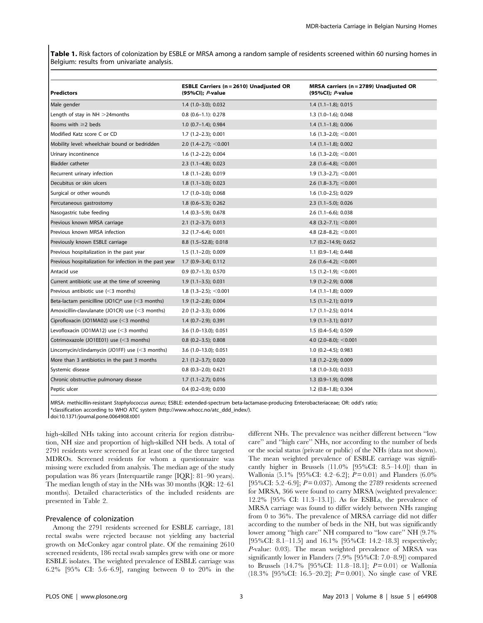Table 1. Risk factors of colonization by ESBLE or MRSA among a random sample of residents screened within 60 nursing homes in Belgium: results from univariate analysis.

| <b>Predictors</b>                                       | <b>ESBLE Carriers (n = 2610) Unadjusted OR</b><br>$(95\%$ CI); $P$ -value | MRSA carriers (n = 2789) Unadjusted OR<br>$(95\%$ CI); $P$ -value |
|---------------------------------------------------------|---------------------------------------------------------------------------|-------------------------------------------------------------------|
| Male gender                                             | $1.4$ (1.0-3.0); 0.032                                                    | $1.4$ (1.1-1.8); 0.015                                            |
| Length of stay in $NH > 24$ months                      | $0.8$ (0.6-1.1): 0.278                                                    | $1.3$ (1.0-1.6); 0.048                                            |
| Rooms with $\geq$ beds                                  | $1.0$ (0.7-1.4); 0.984                                                    | $1.4$ (1.1-1.8); 0.006                                            |
| Modified Katz score C or CD                             | $1.7$ $(1.2-2.3)$ ; 0.001                                                 | 1.6 $(1.3-2.0)$ ; <0.001                                          |
| Mobility level: wheelchair bound or bedridden           | 2.0 $(1.4-2.7)$ ; <0.001                                                  | $1.4$ (1.1-1.8); 0.002                                            |
| Urinary incontinence                                    | $1.6$ (1.2-2.2); 0.004                                                    | 1.6 $(1.3-2.0)$ ; <0.001                                          |
| <b>Bladder catheter</b>                                 | $2.3$ (1.1-4.8); 0.023                                                    | 2.8 $(1.6-4.8)$ ; <0.001                                          |
| Recurrent urinary infection                             | $1.8$ (1.1-2.8); 0.019                                                    | 1.9 $(1.3-2.7)$ ; <0.001                                          |
| Decubitus or skin ulcers                                | $1.8$ (1.1-3.0); 0.023                                                    | 2.6 $(1.8-3.7);$ < 0.001                                          |
| Surgical or other wounds                                | 1.7 (1.0-3.0); 0.068                                                      | 1.6 (1.0-2.5); 0.029                                              |
| Percutaneous gastrostomy                                | $1.8$ (0.6-5.3); 0.262                                                    | $2.3$ (1.1-5.0); 0.026                                            |
| Nasogastric tube feeding                                | $1.4$ (0.3-5.9); 0.678                                                    | $2.6$ (1.1-6.6); 0.038                                            |
| Previous known MRSA carriage                            | $2.1$ (1.2-3.7); 0.013                                                    | 4.8 $(3.2 - 7.1)$ ; <0.001                                        |
| Previous known MRSA infection                           | $3.2$ (1.7-6.4); 0.001                                                    | 4.8 $(2.8-8.2)$ ; <0.001                                          |
| Previously known ESBLE carriage                         | 8.8 (1.5-52.8); 0.018                                                     | $1.7$ (0.2-14.9); 0.652                                           |
| Previous hospitalization in the past year               | $1.5(1.1-2.0); 0.009$                                                     | $1.1$ (0.9-1.4); 0.448                                            |
| Previous hospitalization for infection in the past year | $1.7$ (0.9-3.4); 0.112                                                    | 2.6 $(1.6-4.2)$ ; <0.001                                          |
| Antacid use                                             | $0.9$ (0.7-1.3); 0.570                                                    | 1.5 $(1.2-1.9)$ ; <0.001                                          |
| Current antibiotic use at the time of screening         | $1.9$ (1.1-3.5); 0.031                                                    | 1.9 (1.2-2.9); 0.008                                              |
| Previous antibiotic use $(<$ 3 months)                  | 1.8 $(1.3-2.5)$ ; <0.001                                                  | $1.4$ (1.1-1.8); 0.009                                            |
| Beta-lactam penicilline (JO1C)* use $(<$ 3 months)      | $1.9$ (1.2-2.8); 0.004                                                    | $1.5$ (1.1–2.1); 0.019                                            |
| Amoxicillin-clavulanate (JO1CR) use $(<$ 3 months)      | $2.0$ (1.2-3.3); 0.006                                                    | $1.7$ (1.1-2.5); 0.014                                            |
| Ciprofloxacin (JO1MA02) use (<3 months)                 | $1.4$ (0.7-2.9); 0.391                                                    | $1.9$ (1.1-3.1); 0.017                                            |
| Levofloxacin (JO1MA12) use (<3 months)                  | $3.6$ (1.0-13.0); 0.051                                                   | $1.5$ (0.4-5.4); 0.509                                            |
| Cotrimoxazole (JO1EE01) use $(<$ 3 months)              | $0.8$ (0.2-3.5); 0.808                                                    | 4.0 $(2.0-8.0)$ ; <0.001                                          |
| Lincomycin/clindamycin (JO1FF) use $(<$ 3 months)       | $3.6$ (1.0-13.0); 0.051                                                   | $1.0$ (0.2-4.5); 0.983                                            |
| More than 3 antibiotics in the past 3 months            | $2.1$ (1.2-3.7); 0.020                                                    | $1.8$ (1.2-2.9); 0.009                                            |
| Systemic disease                                        | $0.8$ (0.3-2.0); 0.621                                                    | $1.8$ (1.0-3.0); 0.033                                            |
| Chronic obstructive pulmonary disease                   | $1.7$ $(1.1-2.7)$ ; 0.016                                                 | 1.3 (0.9-1.9); 0.098                                              |
| Peptic ulcer                                            | $0.4$ (0.2-0.9); 0.030                                                    | $1.2$ (0.8-1.8); 0.304                                            |

MRSA: methicillin-resistant Staphylococcus aureus; ESBLE: extended-spectrum beta-lactamase-producing Enterobacteriaceae; OR: odd's ratio; \*classification according to WHO ATC system (http://www.whocc.no/atc\_ddd\_index/).

doi:10.1371/journal.pone.0064908.t001

high-skilled NHs taking into account criteria for region distribution, NH size and proportion of high-skilled NH beds. A total of 2791 residents were screened for at least one of the three targeted MDROs. Screened residents for whom a questionnaire was missing were excluded from analysis. The median age of the study population was 86 years (Interquartile range [IQR]: 81–90 years). The median length of stay in the NHs was 30 months (IQR: 12–61 months). Detailed characteristics of the included residents are presented in Table 2.

# Prevalence of colonization

Among the 2791 residents screened for ESBLE carriage, 181 rectal swabs were rejected because not yielding any bacterial growth on McConkey agar control plate. Of the remaining 2610 screened residents, 186 rectal swab samples grew with one or more ESBLE isolates. The weighted prevalence of ESBLE carriage was 6.2% [95% CI: 5.6–6.9], ranging between 0 to 20% in the

different NHs. The prevalence was neither different between ''low care'' and ''high care'' NHs, nor according to the number of beds or the social status (private or public) of the NHs (data not shown). The mean weighted prevalence of ESBLE carriage was significantly higher in Brussels (11.0% [95%CI: 8.5–14.0]) than in Wallonia (5.1% [95%CI: 4.2–6.2];  $P = 0.01$ ) and Flanders (6.0% [95%CI: 5.2–6.9];  $P = 0.037$ ). Among the 2789 residents screened for MRSA, 366 were found to carry MRSA (weighted prevalence: 12.2% [95% CI: 11.3–13.1]). As for ESBLs, the prevalence of MRSA carriage was found to differ widely between NHs ranging from 0 to 36%. The prevalence of MRSA carriage did not differ according to the number of beds in the NH, but was significantly lower among ''high care'' NH compared to ''low care'' NH (9.7% [95%CI: 8.1–11.5] and 16.1% [95%CI: 14.2–18.3] respectively; P-value: 0.03). The mean weighted prevalence of MRSA was significantly lower in Flanders (7.9% [95%CI: 7.0–8.9]) compared to Brussels (14.7% [95%CI: 11.8–18.1];  $P=0.01$ ) or Wallonia (18.3% [95%CI: 16.5–20.2];  $P = 0.001$ ). No single case of VRE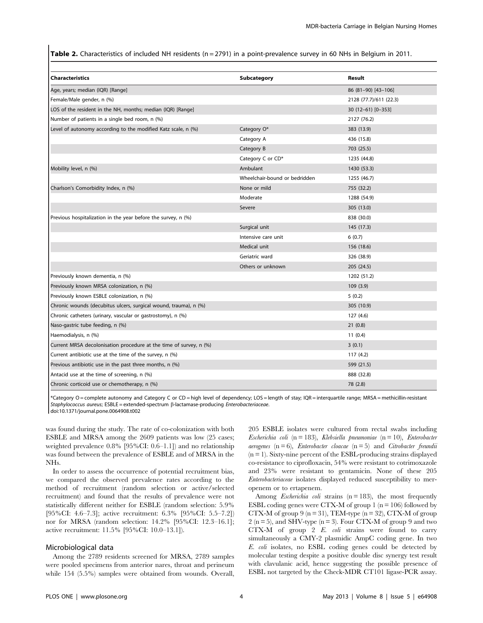Table 2. Characteristics of included NH residents (n = 2791) in a point-prevalence survey in 60 NHs in Belgium in 2011.

| <b>Characteristics</b>                                             | Subcategory                   | Result                 |
|--------------------------------------------------------------------|-------------------------------|------------------------|
| Age, years; median (IQR) [Range]                                   |                               | 86 (81-90) [43-106]    |
| Female/Male gender, n (%)                                          |                               | 2128 (77.7)/611 (22.3) |
| LOS of the resident in the NH, months; median (IQR) [Range]        |                               | 30 (12-61) [0-353]     |
| Number of patients in a single bed room, n (%)                     |                               | 2127 (76.2)            |
| Level of autonomy according to the modified Katz scale, n (%)      | Category O*                   | 383 (13.9)             |
|                                                                    | Category A                    | 436 (15.8)             |
|                                                                    | Category B                    | 703 (25.5)             |
|                                                                    | Category C or CD*             | 1235 (44.8)            |
| Mobility level, n (%)                                              | Ambulant                      | 1430 (53.3)            |
|                                                                    | Wheelchair-bound or bedridden | 1255 (46.7)            |
| Charlson's Comorbidity Index, n (%)                                | None or mild                  | 755 (32.2)             |
|                                                                    | Moderate                      | 1288 (54.9)            |
|                                                                    | Severe                        | 305 (13.0)             |
| Previous hospitalization in the year before the survey, n (%)      |                               | 838 (30.0)             |
|                                                                    | Surgical unit                 | 145 (17.3)             |
|                                                                    | Intensive care unit           | 6(0.7)                 |
|                                                                    | Medical unit                  | 156 (18.6)             |
|                                                                    | Geriatric ward                | 326 (38.9)             |
|                                                                    | Others or unknown             | 205 (24.5)             |
| Previously known dementia, n (%)                                   |                               | 1202 (51.2)            |
| Previously known MRSA colonization, n (%)                          |                               | 109(3.9)               |
| Previously known ESBLE colonization, n (%)                         |                               | 5(0.2)                 |
| Chronic wounds (decubitus ulcers, surgical wound, trauma), n (%)   |                               | 305 (10.9)             |
| Chronic catheters (urinary, vascular or gastrostomy), n (%)        |                               | 127(4.6)               |
| Naso-gastric tube feeding, n (%)                                   |                               | 21(0.8)                |
| Haemodialysis, n (%)                                               |                               | 11(0.4)                |
| Current MRSA decolonisation procedure at the time of survey, n (%) |                               | 3(0.1)                 |
| Current antibiotic use at the time of the survey, n (%)            |                               | 117(4.2)               |
| Previous antibiotic use in the past three months, n (%)            |                               | 599 (21.5)             |
| Antacid use at the time of screening, n (%)                        |                               | 888 (32.8)             |
| Chronic corticoid use or chemotherapy, n (%)                       |                               | 78 (2.8)               |

\*Category O = complete autonomy and Category C or CD = high level of dependency; LOS = length of stay; IQR = interquartile range; MRSA = methicillin-resistant Staphylococcus aureus;  $ESBLE = extended-spectrum \beta$ -lactamase-producing Enterobacteriaceae. doi:10.1371/journal.pone.0064908.t002

was found during the study. The rate of co-colonization with both ESBLE and MRSA among the 2609 patients was low (25 cases; weighted prevalence 0.8% [95%CI: 0.6–1.1]) and no relationship was found between the prevalence of ESBLE and of MRSA in the NHs.

In order to assess the occurrence of potential recruitment bias, we compared the observed prevalence rates according to the method of recruitment (random selection or active/selected recruitment) and found that the results of prevalence were not statistically different neither for ESBLE (random selection: 5.9% [95%CI: 4.6–7.3]; active recruitment: 6.3% [95%CI: 5.5–7.2]) nor for MRSA (random selection: 14.2% [95%CI: 12.3–16.1]; active recruitment: 11.5% [95%CI: 10.0–13.1]).

# Microbiological data

Among the 2789 residents screened for MRSA, 2789 samples were pooled specimens from anterior nares, throat and perineum while 154 (5.5%) samples were obtained from wounds. Overall, 205 ESBLE isolates were cultured from rectal swabs including Escherichia coli (n = 183), Klebsiella pneumoniae (n = 10), Enterobacter aerogenes  $(n = 6)$ , Enterobacter cloacae  $(n = 5)$  and Citrobacter freunditionally  $(n = 1)$ . Sixty-nine percent of the ESBL-producing strains displayed co-resistance to ciprofloxacin, 54% were resistant to cotrimoxazole and 23% were resistant to gentamicin. None of these 205 Enterobacteriaceae isolates displayed reduced susceptibility to meropenem or to ertapenem.

Among Escherichia coli strains  $(n = 183)$ , the most frequently ESBL coding genes were CTX-M of group  $1$  ( $n = 106$ ) followed by CTX-M of group  $9$  ( $n = 31$ ), TEM-type ( $n = 32$ ), CTX-M of group  $2 (n = 5)$ , and SHV-type  $(n = 3)$ . Four CTX-M of group 9 and two CTX-M of group 2 E. coli strains were found to carry simultaneously a CMY-2 plasmidic AmpC coding gene. In two E. coli isolates, no ESBL coding genes could be detected by molecular testing despite a positive double disc synergy test result with clavulanic acid, hence suggesting the possible presence of ESBL not targeted by the Check-MDR CT101 ligase-PCR assay.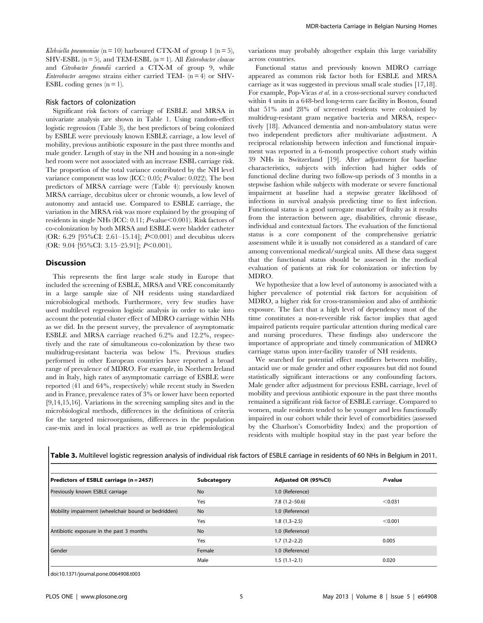Klebsiella pneumoniae (n = 10) harboured CTX-M of group 1 (n = 5), SHV-ESBL  $(n = 5)$ , and TEM-ESBL  $(n = 1)$ . All *Enterobacter cloacae* and Citrobacter freundii carried a CTX-M of group 9, while *Enterobacter aerogenes* strains either carried TEM-  $(n = 4)$  or SHV-ESBL coding genes  $(n = 1)$ .

# Risk factors of colonization

Significant risk factors of carriage of ESBLE and MRSA in univariate analysis are shown in Table 1. Using random-effect logistic regression (Table 3), the best predictors of being colonized by ESBLE were previously known ESBLE carriage, a low level of mobility, previous antibiotic exposure in the past three months and male gender. Length of stay in the NH and housing in a non-single bed room were not associated with an increase ESBL carriage risk. The proportion of the total variance contributed by the NH level variance component was low (ICC: 0.05; P-value: 0.022). The best predictors of MRSA carriage were (Table 4): previously known MRSA carriage, decubitus ulcer or chronic wounds, a low level of autonomy and antacid use. Compared to ESBLE carriage, the variation in the MRSA risk was more explained by the grouping of residents in single NHs (ICC:  $0.11$ ;  $P$ -value $< 0.001$ ). Risk factors of co-colonization by both MRSA and ESBLE were bladder catheter (OR: 6.29 [95%CI: 2.61-15.14];  $P \le 0.001$ ) and decubitus ulcers (OR:  $9.04$  [95%CI:  $3.15-25.91$ ];  $P<0.001$ ).

#### **Discussion**

This represents the first large scale study in Europe that included the screening of ESBLE, MRSA and VRE concomitantly in a large sample size of NH residents using standardized microbiological methods. Furthermore, very few studies have used multilevel regression logistic analysis in order to take into account the potential cluster effect of MDRO carriage within NHs as we did. In the present survey, the prevalence of asymptomatic ESBLE and MRSA carriage reached 6.2% and 12.2%, respectively and the rate of simultaneous co-colonization by these two multidrug-resistant bacteria was below 1%. Previous studies performed in other European countries have reported a broad range of prevalence of MDRO. For example, in Northern Ireland and in Italy, high rates of asymptomatic carriage of ESBLE were reported (41 and 64%, respectively) while recent study in Sweden and in France, prevalence rates of 3% or lower have been reported [9,14,15,16]. Variations in the screening sampling sites and in the microbiological methods, differences in the definitions of criteria for the targeted microorganisms, differences in the population case-mix and in local practices as well as true epidemiological variations may probably altogether explain this large variability across countries.

Functional status and previously known MDRO carriage appeared as common risk factor both for ESBLE and MRSA carriage as it was suggested in previous small scale studies [17,18]. For example, Pop-Vicas et al. in a cross-sectional survey conducted within 4 units in a 648-bed long-term care facility in Boston, found that 51% and 28% of screened residents were colonised by multidrug-resistant gram negative bacteria and MRSA, respectively [18]. Advanced dementia and non-ambulatory status were two independent predictors after multivariate adjustment. A reciprocal relationship between infection and functional impairment was reported in a 6-month prospective cohort study within 39 NHs in Switzerland [19]. After adjustment for baseline characteristics, subjects with infection had higher odds of functional decline during two follow-up periods of 3 months in a stepwise fashion while subjects with moderate or severe functional impairment at baseline had a stepwise greater likelihood of infections in survival analysis predicting time to first infection. Functional status is a good surrogate marker of frailty as it results from the interaction between age, disabilities, chronic disease, individual and contextual factors. The evaluation of the functional status is a core component of the comprehensive geriatric assessment while it is usually not considered as a standard of care among conventional medical/surgical units. All these data suggest that the functional status should be assessed in the medical evaluation of patients at risk for colonization or infection by MDRO.

We hypothesize that a low level of autonomy is associated with a higher prevalence of potential risk factors for acquisition of MDRO, a higher risk for cross-transmission and also of antibiotic exposure. The fact that a high level of dependency most of the time constitutes a non-reversible risk factor implies that aged impaired patients require particular attention during medical care and nursing procedures. These findings also underscore the importance of appropriate and timely communication of MDRO carriage status upon inter-facility transfer of NH residents.

We searched for potential effect modifiers between mobility, antacid use or male gender and other exposures but did not found statistically significant interactions or any confounding factors. Male gender after adjustment for previous ESBL carriage, level of mobility and previous antibiotic exposure in the past three months remained a significant risk factor of ESBLE carriage. Compared to women, male residents tended to be younger and less functionally impaired in our cohort while their level of comorbidities (assessed by the Charlson's Comorbidity Index) and the proportion of residents with multiple hospital stay in the past year before the

Table 3. Multilevel logistic regression analysis of individual risk factors of ESBLE carriage in residents of 60 NHs in Belgium in 2011.

| Predictors of ESBLE carriage (n = 2457)             | Subcategory | Adjusted OR (95%CI) | P-value |
|-----------------------------------------------------|-------------|---------------------|---------|
| Previously known ESBLE carriage                     | <b>No</b>   | 1.0 (Reference)     |         |
|                                                     | Yes         | $7.8(1.2 - 50.6)$   | < 0.031 |
| Mobility impairment (wheelchair bound or bedridden) | <b>No</b>   | 1.0 (Reference)     |         |
|                                                     | Yes         | $1.8(1.3-2.5)$      | < 0.001 |
| Antibiotic exposure in the past 3 months            | <b>No</b>   | 1.0 (Reference)     |         |
|                                                     | Yes         | $1.7(1.2-2.2)$      | 0.005   |
| Gender                                              | Female      | 1.0 (Reference)     |         |
|                                                     | Male        | $1.5(1.1-2.1)$      | 0.020   |
|                                                     |             |                     |         |

doi:10.1371/journal.pone.0064908.t003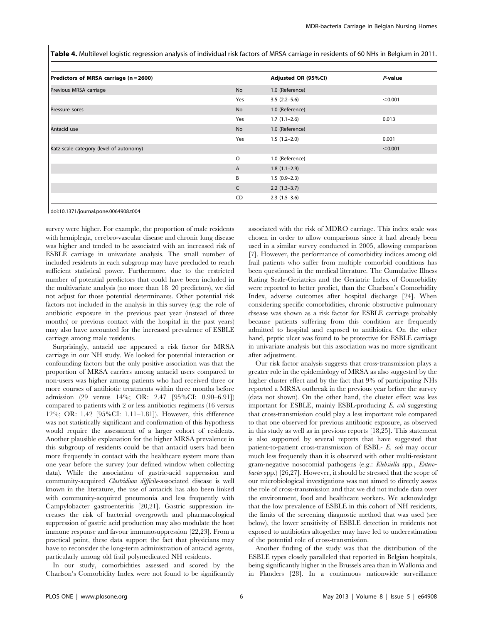Table 4. Multilevel logistic regression analysis of individual risk factors of MRSA carriage in residents of 60 NHs in Belgium in 2011.

| Predictors of MRSA carriage (n = 2600)  |           | Adjusted OR (95%CI) | P-value |
|-----------------------------------------|-----------|---------------------|---------|
| Previous MRSA carriage                  | <b>No</b> | 1.0 (Reference)     |         |
|                                         | Yes       | $3.5(2.2-5.6)$      | < 0.001 |
| Pressure sores                          | <b>No</b> | 1.0 (Reference)     |         |
|                                         | Yes       | $1.7(1.1-2.6)$      | 0.013   |
| Antacid use                             | <b>No</b> | 1.0 (Reference)     |         |
|                                         | Yes       | $1.5(1.2-2.0)$      | 0.001   |
| Katz scale category (level of autonomy) |           |                     | < 0.001 |
|                                         | $\circ$   | 1.0 (Reference)     |         |
|                                         | A         | $1.8(1.1-2.9)$      |         |
|                                         | B         | $1.5(0.9-2.3)$      |         |
|                                         | C         | $2.2(1.3-3.7)$      |         |
|                                         | CD        | $2.3(1.5-3.6)$      |         |

doi:10.1371/journal.pone.0064908.t004

survey were higher. For example, the proportion of male residents with hemiplegia, cerebro-vascular disease and chronic lung disease was higher and tended to be associated with an increased risk of ESBLE carriage in univariate analysis. The small number of included residents in each subgroup may have precluded to reach sufficient statistical power. Furthermore, due to the restricted number of potential predictors that could have been included in the multivariate analysis (no more than 18–20 predictors), we did not adjust for those potential determinants. Other potential risk factors not included in the analysis in this survey (e.g: the role of antibiotic exposure in the previous past year (instead of three months) or previous contact with the hospital in the past years) may also have accounted for the increased prevalence of ESBLE carriage among male residents.

Surprisingly, antacid use appeared a risk factor for MRSA carriage in our NH study. We looked for potential interaction or confounding factors but the only positive association was that the proportion of MRSA carriers among antacid users compared to non-users was higher among patients who had received three or more courses of antibiotic treatments within three months before admission (29 versus 14%; OR: 2.47 [95%CI: 0.90–6.91]) compared to patients with 2 or less antibiotics regimens (16 versus 12%; OR: 1.42 [95%CI: 1.11–1.81]). However, this difference was not statistically significant and confirmation of this hypothesis would require the assessment of a larger cohort of residents. Another plausible explanation for the higher MRSA prevalence in this subgroup of residents could be that antacid users had been more frequently in contact with the healthcare system more than one year before the survey (our defined window when collecting data). While the association of gastric-acid suppression and community-acquired Clostridium difficile-associated disease is well known in the literature, the use of antacids has also been linked with community-acquired pneumonia and less frequently with Campylobacter gastroenteritis [20,21]. Gastric suppression increases the risk of bacterial overgrowth and pharmacological suppression of gastric acid production may also modulate the host immune response and favour immunosuppression [22,23]. From a practical point, these data support the fact that physicians may have to reconsider the long-term administration of antacid agents, particularly among old frail polymedicated NH residents.

In our study, comorbidities assessed and scored by the Charlson's Comorbidity Index were not found to be significantly

associated with the risk of MDRO carriage. This index scale was chosen in order to allow comparisons since it had already been used in a similar survey conducted in 2005, allowing comparison [7]. However, the performance of comorbidity indices among old frail patients who suffer from multiple comorbid conditions has been questioned in the medical literature. The Cumulative Illness Rating Scale-Geriatrics and the Geriatric Index of Comorbidity were reported to better predict, than the Charlson's Comorbidity Index, adverse outcomes after hospital discharge [24]. When considering specific comorbidities, chronic obstructive pulmonary disease was shown as a risk factor for ESBLE carriage probably because patients suffering from this condition are frequently admitted to hospital and exposed to antibiotics. On the other hand, peptic ulcer was found to be protective for ESBLE carriage in univariate analysis but this association was no more significant after adjustment.

Our risk factor analysis suggests that cross-transmission plays a greater role in the epidemiology of MRSA as also suggested by the higher cluster effect and by the fact that 9% of participating NHs reported a MRSA outbreak in the previous year before the survey (data not shown). On the other hand, the cluster effect was less important for ESBLE, mainly ESBL-producing E. coli suggesting that cross-transmission could play a less important role compared to that one observed for previous antibiotic exposure, as observed in this study as well as in previous reports [18,25]. This statement is also supported by several reports that have suggested that patient-to-patient cross-transmission of ESBL- E. coli may occur much less frequently than it is observed with other multi-resistant gram-negative nosocomial pathogens (e.g.: Klebsiella spp., Enterobacter spp.) [26,27]. However, it should be stressed that the scope of our microbiological investigations was not aimed to directly assess the role of cross-transmission and that we did not include data over the environment, food and healthcare workers. We acknowledge that the low prevalence of ESBLE in this cohort of NH residents, the limits of the screening diagnostic method that was used (see below), the lower sensitivity of ESBLE detection in residents not exposed to antibiotics altogether may have led to underestimation of the potential role of cross-transmission.

Another finding of the study was that the distribution of the ESBLE types closely paralleled that reported in Belgian hospitals, being significantly higher in the Brussels area than in Wallonia and in Flanders [28]. In a continuous nationwide surveillance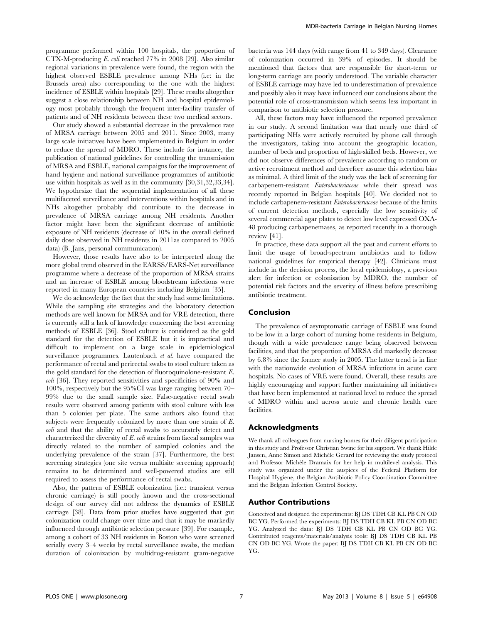programme performed within 100 hospitals, the proportion of CTX-M-producing E. coli reached 77% in 2008 [29]. Also similar regional variations in prevalence were found, the region with the highest observed ESBLE prevalence among NHs (i.e: in the Brussels area) also corresponding to the one with the highest incidence of ESBLE within hospitals [29]. These results altogether suggest a close relationship between NH and hospital epidemiology most probably through the frequent inter-facility transfer of patients and of NH residents between these two medical sectors.

Our study showed a substantial decrease in the prevalence rate of MRSA carriage between 2005 and 2011. Since 2003, many large scale initiatives have been implemented in Belgium in order to reduce the spread of MDRO. These include for instance, the publication of national guidelines for controlling the transmission of MRSA and ESBLE, national campaigns for the improvement of hand hygiene and national surveillance programmes of antibiotic use within hospitals as well as in the community [30,31,32,33,34]. We hypothesize that the sequential implementation of all these multifaceted surveillance and interventions within hospitals and in NHs altogether probably did contribute to the decrease in prevalence of MRSA carriage among NH residents. Another factor might have been the significant decrease of antibiotic exposure of NH residents (decrease of 10% in the overall defined daily dose observed in NH residents in 2011as compared to 2005 data) (B. Jans, personal communication).

However, those results have also to be interpreted along the more global trend observed in the EARSS/EARS-Net surveillance programme where a decrease of the proportion of MRSA strains and an increase of ESBLE among bloodstream infections were reported in many European countries including Belgium [35].

We do acknowledge the fact that the study had some limitations. While the sampling site strategies and the laboratory detection methods are well known for MRSA and for VRE detection, there is currently still a lack of knowledge concerning the best screening methods of ESBLE [36]. Stool culture is considered as the gold standard for the detection of ESBLE but it is impractical and difficult to implement on a large scale in epidemiological surveillance programmes. Lautenbach et al. have compared the performance of rectal and perirectal swabs to stool culture taken as the gold standard for the detection of fluoroquinolone-resistant E. coli [36]. They reported sensitivities and specificities of 90% and 100%, respectively but the 95%CI was large ranging between 70– 99% due to the small sample size. False-negative rectal swab results were observed among patients with stool culture with less than 5 colonies per plate. The same authors also found that subjects were frequently colonized by more than one strain of E. coli and that the ability of rectal swabs to accurately detect and characterized the diversity of E. coli strains from faecal samples was directly related to the number of sampled colonies and the underlying prevalence of the strain [37]. Furthermore, the best screening strategies (one site versus multisite screening approach) remains to be determined and well-powered studies are still required to assess the performance of rectal swabs.

Also, the pattern of ESBLE colonization (i.e.: transient versus chronic carriage) is still poorly known and the cross-sectional design of our survey did not address the dynamics of ESBLE carriage [38]. Data from prior studies have suggested that gut colonization could change over time and that it may be markedly influenced through antibiotic selection pressure [39]. For example, among a cohort of 33 NH residents in Boston who were screened serially every 3–4 weeks by rectal surveillance swabs, the median duration of colonization by multidrug-resistant gram-negative

bacteria was 144 days (with range from 41 to 349 days). Clearance of colonization occurred in 39% of episodes. It should be mentioned that factors that are responsible for short-term or long-term carriage are poorly understood. The variable character of ESBLE carriage may have led to underestimation of prevalence and possibly also it may have influenced our conclusions about the potential role of cross-transmission which seems less important in comparison to antibiotic selection pressure.

All, these factors may have influenced the reported prevalence in our study. A second limitation was that nearly one third of participating NHs were actively recruited by phone call through the investigators, taking into account the geographic location, number of beds and proportion of high-skilled beds. However, we did not observe differences of prevalence according to random or active recruitment method and therefore assume this selection bias as minimal. A third limit of the study was the lack of screening for carbapenem-resistant Enterobacteriaceae while their spread was recently reported in Belgian hospitals [40]. We decided not to include carbapenem-resistant Enterobacteriaceae because of the limits of current detection methods, especially the low sensitivity of several commercial agar plates to detect low level expressed OXA-48 producing carbapenemases, as reported recently in a thorough review [41].

In practice, these data support all the past and current efforts to limit the usage of broad-spectrum antibiotics and to follow national guidelines for empirical therapy [42]. Clinicians must include in the decision process, the local epidemiology, a previous alert for infection or colonisation by MDRO, the number of potential risk factors and the severity of illness before prescribing antibiotic treatment.

#### Conclusion

The prevalence of asymptomatic carriage of ESBLE was found to be low in a large cohort of nursing home residents in Belgium, though with a wide prevalence range being observed between facilities, and that the proportion of MRSA did markedly decrease by 6.8% since the former study in 2005. The latter trend is in line with the nationwide evolution of MRSA infections in acute care hospitals. No cases of VRE were found. Overall, these results are highly encouraging and support further maintaining all initiatives that have been implemented at national level to reduce the spread of MDRO within and across acute and chronic health care facilities.

#### Acknowledgments

We thank all colleagues from nursing homes for their diligent participation in this study and Professor Christian Swine for his support. We thank Hilde Jansen, Anne Simon and Michèle Gerard for reviewing the study protocol and Professor Michèle Dramaix for her help in multilevel analysis. This study was organized under the auspices of the Federal Platform for Hospital Hygiene, the Belgian Antibiotic Policy Coordination Committee and the Belgian Infection Control Society.

# Author Contributions

Conceived and designed the experiments: BJ DS TDH CB KL PB CN OD BC YG. Performed the experiments: BJ DS TDH CB KL PB CN OD BC YG. Analyzed the data: BJ DS TDH CB KL PB CN OD BC YG. Contributed reagents/materials/analysis tools: BJ DS TDH CB KL PB CN OD BC YG. Wrote the paper: BJ DS TDH CB KL PB CN OD BC YG.